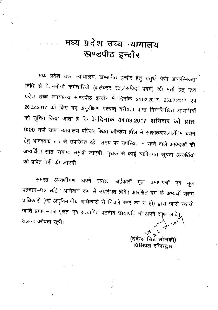## मध्य प्रदेश उच्च न्यायालय खण्डपीठ इन्दौर

मध्य प्रदेश उच्च न्यायालय, खण्डपीठ इन्दौर हेतु चतुर्थ श्रेणी आकरिमकता निधि से वेतनभोगी कर्मचारियों (कलेक्टर रेट / संविदा प्रवर्ग) की भर्ती हेतु मध्य प्रदेश उच्च न्यायालय खण्डपीठ इन्दौर में दिनांक 24.02.2017, 25.02.2017 एवं 26.02.2017 को किए गए अनुवीक्षण पश्चात् वरीयता प्राप्त निम्नलिखित अभ्यर्थियों को सूचित किया जाता है कि वे<sup>ं</sup>दिनां**क 04.03.2017 शनिवार को प्रातः** 9:00 बजे उच्च न्यायालय परिसर रिथत कॉन्फ्रेंस हॉल में साक्षात्कार/अंतिम चयन हेतु आवश्यक रूप से उपस्थित रहें। समय पर उपस्थित न रहने वाले आवेदकों की अभ्यर्थिता स्वतः समाप्त समझी जाएगी। पृथक से कोई व्यक्तिगत सूचना अभ्यर्थियों को प्रेषित नहीं की जाएगी।

समस्त अभ्यर्थीगण अपने समस्त अर्हकारी मूल प्रमाणपत्रों एवं मृल पहचान–पत्र सहित अनिवार्य रूप से उपरिथत होवें। आरक्षित वर्ग के अभ्यर्थी सक्षम प्राधिकारी (जो अनुविभागीय अधिकारी से निचले स्तर का न हो) द्वारा जारी स्थायी जाति प्रमाण-पत्र मूलतः एवं सत्यापित पठनीय छायाप्रति भी अपने साथ लावें। संलग्नः वरीयता सूची।

> (देवेन्द्र सिंह सोलंकी) प्रिंसिपल रजिस्ट्रार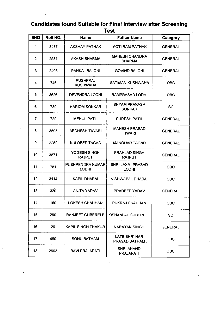## **Candidates found Suitable for Final Interview after Screening Test**

| <b>SNO</b>     | Roll NO. | <b>Name</b>                             | <b>Father Name</b>                     | Category       |
|----------------|----------|-----------------------------------------|----------------------------------------|----------------|
| 1              | 3437     | <b>AKSHAY PATHAK</b>                    | <b>MOTI RAM PATHAK</b>                 | <b>GENERAL</b> |
| $\overline{2}$ | 2581     | <b>AKASH SHARMA</b>                     | <b>MAHESH CHANDRA</b><br><b>SHARMA</b> | <b>GENERAL</b> |
| 3              | 2406     | <b>PANKAJ BALONI</b>                    | <b>GOVIND BALONI</b>                   | <b>GENERAL</b> |
| 4              | 746      | <b>PUSHPRAJ</b><br><b>KUSHWAHA</b>      | <b>SATIMAN KUSHWAHA</b>                | <b>OBC</b>     |
| 5              | 3626     | <b>DEVENDRA LODHI</b>                   | <b>RAMPRASAD LODHI</b>                 | <b>OBC</b>     |
| 6              | 730      | <b>HARIOM SONKAR</b>                    | <b>SHYAM PRAKASH</b><br><b>SONKAR</b>  | <b>SC</b>      |
| $\overline{7}$ | 729      | <b>MEHUL PATIL</b>                      | <b>SURESH PATIL</b>                    | <b>GENERAL</b> |
| 8              | 3598     | <b>ABDHESH TIWARI</b>                   | <b>MAHESH PRASAD</b><br><b>TIWARI</b>  | <b>GENERAL</b> |
| 9              | 2289     | <b>KULDEEP TAGAD</b>                    | <b>MANOHAR TAGAD</b>                   | <b>GENERAL</b> |
| 10             | 3871     | YOGESH SINGH<br><b>RAJPUT</b>           | <b>PRAHLAD SINGH</b><br><b>RAJPUT</b>  | <b>GENERAL</b> |
| 11             | 781      | <b>PUSHPENDRA KUMAR</b><br><b>LODHI</b> | SHRI LAXMI PRASAD<br><b>LODHI</b>      | <b>OBC</b>     |
| 12             | 3414     | <b>KAPIL DHABAI</b>                     | <b>VISHWAPAL DHABAI</b>                | <b>OBC</b>     |
| 13             | 329      | <b>ANITA YADAV</b>                      | PRADEEP YADAV                          | <b>GENERAL</b> |
| 14             | 159      | <b>LOKESH CHAUHAN</b>                   | PUKRAJ CHAUHAN                         | <b>OBC</b>     |
| 15             | 260      | RANJEET GUBERELE                        | <b>KISHANLAL GUBERELE</b>              | <b>SC</b>      |
| 16             | 29       | KAPIL SINGH THAKUR                      | <b>NARAYAN SINGH</b>                   | <b>GENERAL</b> |
| 17             | 460      | <b>SONU BATHAM</b>                      | LATE SHRI HAR<br><b>PRASAD BATHAM.</b> | <b>OBC</b>     |
| 18             | 2693     | RAVI PRAJAPATI                          | <b>SHRI ANAND</b><br>PRAJAPATI         | <b>OBC</b>     |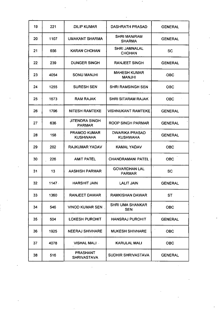| 19 | 221   | <b>DILIP KUMAR</b>                     | <b>DASHRATH PRASAD</b>                   | <b>GENERAL</b> |  |
|----|-------|----------------------------------------|------------------------------------------|----------------|--|
| 20 | 1107  | UMAKANT SHARMA                         | <b>SHRI MANIRAM</b><br><b>SHARMA</b>     | <b>GENERAL</b> |  |
| 21 | 656   | <b>KARAN CHOHAN</b>                    | <b>SHRI JAMNALAL</b><br><b>CHOHAN</b>    | <b>SC</b>      |  |
| 22 | 239   | <b>DUNGER SINGH</b>                    | <b>RANJEET SINGH</b>                     | <b>GENERAL</b> |  |
| 23 | 4054  | <b>SONU MANJHI</b>                     | <b>MAHESH KUMAR</b><br><b>MANJHI</b>     | OBC            |  |
| 24 | 1255  | <b>SURESH SEN</b>                      | <b>SHRI RAMSINGH SEN</b>                 | <b>OBC</b>     |  |
| 25 | 1673  | <b>RAM RAJAK</b>                       | <b>SHRI SITARAM RAJAK</b>                | OBC            |  |
| 26 | 1796  | <b>NITESH RAMTEKE</b>                  | <b>VISHNUKANT RAMTEKE</b>                | <b>GENERAL</b> |  |
| 27 | 636   | <b>JITENDRA SINGH</b><br><b>PARMAR</b> | <b>ROOP SINGH PARMAR</b>                 | <b>GENERAL</b> |  |
| 28 | 158   | <b>PRAMOD KUMAR</b><br><b>KUSHWAHA</b> | <b>DWARIKA PRASAD</b><br><b>KUSHWAHA</b> | <b>GENERAL</b> |  |
| 29 | 202   | <b>RAJKUMAR YADAV</b>                  | KAMAL YADAV                              | <b>OBC</b>     |  |
| 30 | 226   | <b>AMIT PATEL</b>                      | <b>CHANDRAMANI PATEL</b>                 | <b>OBC</b>     |  |
| 31 | 13    | AASHISH PARMAR                         | <b>GOVARDHAN LAL</b><br><b>PARMAR</b>    | <b>SC</b>      |  |
| 32 | 1147. | <b>HARSHIT JAIN</b>                    | <b>LALIT JAIN</b>                        | <b>GENERAL</b> |  |
| 33 | 1360  | <b>RANJEET DAWAR</b>                   | <b>RAMKISHAN DAWAR</b>                   | <b>ST</b>      |  |
| 34 | 546   | <b>VINOD KUMAR SEN</b>                 | <b>SHRI UMA SHANKAR</b><br><b>SEN</b>    | <b>OBC</b>     |  |
| 35 | 504   | <b>LOKESH PUROHIT</b>                  | <b>HANSRAJ PUROHIT</b>                   | <b>GENERAL</b> |  |
| 36 | 1925  | <b>NEERAJ SHIVHARE</b>                 | <b>MUKESH SHIVHARE</b>                   | <b>OBC</b>     |  |
| 37 | 4078  | <b>VISHAL MALI -</b>                   | <b>KARULAL MALI</b>                      | <b>OBC</b>     |  |
| 38 | 516   | <b>PRASHANT</b><br><b>SHRIVASTAVA</b>  | SUDHIR SHRIVASTAVA                       | <b>GENERAL</b> |  |

 $\label{eq:2} \frac{1}{2} \int_{\mathbb{R}^3} \frac{1}{\sqrt{2}} \, \mathrm{d} \xi \, \mathrm{d} \xi \, \mathrm{d} \xi \, \mathrm{d} \xi \, \mathrm{d} \xi \, \mathrm{d} \xi \, \mathrm{d} \xi \, \mathrm{d} \xi \, \mathrm{d} \xi \, \mathrm{d} \xi \, \mathrm{d} \xi \, \mathrm{d} \xi \, \mathrm{d} \xi \, \mathrm{d} \xi \, \mathrm{d} \xi \, \mathrm{d} \xi \, \mathrm{d} \xi \, \mathrm{d} \xi \, \mathrm{d} \xi \, \mathrm{d} \xi \, \mathrm$ 

and the control of the control of the

and the control of the control of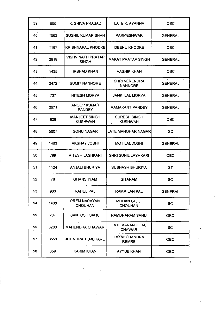| 39  | 555  | K. SHIVA PRASAD                          | LATE K. AYANNA                         | <b>OBC</b>     |
|-----|------|------------------------------------------|----------------------------------------|----------------|
| 40  | 1563 | <b>SUSHIL KUMAR SHAH</b>                 | <b>PARMESHWAR</b>                      | <b>GENERAL</b> |
| 41  | 1187 | <b>KRISHNAPAL KHODKE</b>                 | <b>DEENU KHODKE</b>                    | <b>OBC</b>     |
| 42  | 2819 | <b>VISHV NATH PRATAP</b><br><b>SINGH</b> | <b>MAKAT PRATAP SINGH</b>              | <b>GENERAL</b> |
| 43  | 1435 | <b>IRSHAD KHAN</b>                       | <b>AASHIK KHAN</b>                     | <b>OBC</b>     |
| 44  | 2472 | <b>SUMIT NANNORE</b>                     | <b>SHRI VERENDRA</b><br><b>NANNORE</b> | <b>GENERAL</b> |
| 45  | 737  | <b>NITESH MORYA</b>                      | <b>JANKI LAL MORYA</b>                 | <b>GENERAL</b> |
| 46  | 2571 | <b>ANOOP KUMAR</b><br><b>PANDEY</b>      | <b>RAMAKANT PANDEY</b>                 | <b>GENERAL</b> |
| 47  | 828  | <b>MANJEET SINGH</b><br><b>KUSHWAH</b>   | <b>SURESH SINGH</b><br><b>KUSHWAH</b>  | <b>OBC</b>     |
| 48  | 5007 | <b>SONU NAGAR</b>                        | <b>LATE MANOHAR NAGAR</b>              | <b>SC</b>      |
| 49  | 1463 | <b>AKSHAY JOSHI</b>                      | <b>MOTILAL JOSHI</b>                   | <b>GENERAL</b> |
| .50 | 789  | <b>RITESH LASHKARI</b>                   | <b>SHRI SUNIL LASHKARI</b>             | <b>OBC</b>     |
| 51  | 1124 | <b>ANJALI BHURIYA</b>                    | SUBHASH BHURIYA                        | <b>ST</b>      |
| 52  | 78   | <b>GHANSHYAM</b>                         | <b>SITARAM</b>                         | <b>SC</b>      |
| 53  | 963  | <b>RAHUL PAL</b>                         | <b>RAMMILAN PAL</b>                    | <b>GENERAL</b> |
| 54  | 1408 | <b>PREM NARAYAN</b><br><b>CHOUHAN</b>    | <b>MOHAN LAL JI</b><br><b>CHOUHAN</b>  | <b>SC</b>      |
| 55  | 207  | <b>SANTOSH SAHU</b>                      | RAMDHARAM SAHU                         | <b>OBC</b>     |
| 56  | 3288 | <b>MAHENDRA CHAWAR</b>                   | LATE AANANDI LAL<br><b>CHAWAR</b>      | <b>SC</b>      |
| 57  | 3550 | <b>JITENDRA TEMBHARE</b>                 | <b>LAXMI CHANDRA</b><br><b>REMRE</b>   | COBC           |
| 58  | 359  | KARIM KHAN                               | <b>AYYUB KHAN</b>                      | <b>OBC</b>     |

 $\ddot{\phantom{0}}$ 

 $\frac{1}{2}$ 

and the

 $\mathcal{A}$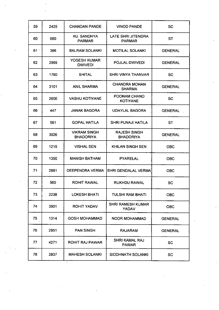| 59              | 2425 | <b>CHANDAN PANDE</b>                    | <b>VINOD PANDE</b>                       | <b>SC</b>      |
|-----------------|------|-----------------------------------------|------------------------------------------|----------------|
| 60              | 680  | <b>KU. SANDHYA</b><br><b>PARMAR</b>     | LATE SHRI JITENDRA<br><b>PARMAR</b>      | <b>ST</b>      |
| 61              | 366  | <b>BALRAM SOLANKI</b>                   | <b>MOTILAL SOLANKI</b>                   | <b>GENERAL</b> |
| 62              | 2969 | YOGESH KUMAR<br><b>DWIVEDI</b>          | POJLAL DWIVEDI                           | <b>GENERAL</b> |
| 63              | 1760 | <b>SHITAL</b>                           | <b>SHRI VINYA THANVAR</b>                | <b>SC</b>      |
| 64              | 3101 | <b>ANIL SHARMA</b>                      | <b>CHANDRA MOHAN</b><br><b>SHARMA</b>    | <b>GENERAL</b> |
| 65              | 2606 | <b>VASHU KOTIYANE</b>                   | POONAM CHAND<br><b>KOTIYANE</b>          | <b>SC</b>      |
| 66              | 447  | <b>JANAK BAGORA</b>                     | <b>UDAYLAL BAGORA</b>                    | <b>GENERAL</b> |
| 67              | 581  | <b>GOPAL HATILA</b>                     | <b>SHRI PUNAJI HATILA</b>                | <b>ST</b>      |
| 68              | 3026 | <b>VIKRAM SINGH</b><br><b>BHADORIYA</b> | <b>RAJESH SINGH</b><br><b>BHADORIYA</b>  | <b>GENERAL</b> |
| 69              | 1219 | <b>VISHAL SEN</b>                       | KHILAN SINGH SEN                         | <b>OBC</b>     |
| 70              | 1350 | <b>MANISH BATHAM</b>                    | <b>PYARELAL</b>                          | <b>OBC</b>     |
| 71              | 2881 | DEEPENDRA VERMA                         | SHRI GENDALAL VERMA                      | <b>OBC</b>     |
| 72              | 560  | <b>ROHIT RAWAL</b>                      | <b>RUKHDU RAWAL</b>                      | <b>SC</b>      |
| 73              | 2238 | <b>LOKESH BHATI</b>                     | TULSHI RAM BHATI                         | <b>OBC</b>     |
| 74              | 3901 | <b>ROHIT YADAV</b>                      | <b>SHRI RAMESH KUMAR</b><br><b>YADAV</b> | <b>OBC</b>     |
| 75              | 1314 | <b>GOSH MOHAMMAD</b>                    | NOOR MOHAMMAD                            | <b>GENERAL</b> |
| 76              | 2951 | <b>PAN SINGH</b>                        | <b>RAJARAM</b>                           | <b>GENERAL</b> |
| 77              | 4271 | <b>ROHIT RAJ PAWAR</b>                  | <b>SHRI KAMAL RAJ</b><br><b>PAWAR</b>    | <b>SC</b>      |
| 78 <sup>°</sup> | 2837 | <b>MAHESH SOLANKI</b>                   | SIDDHNATH SOLANKI                        | <b>SC</b>      |